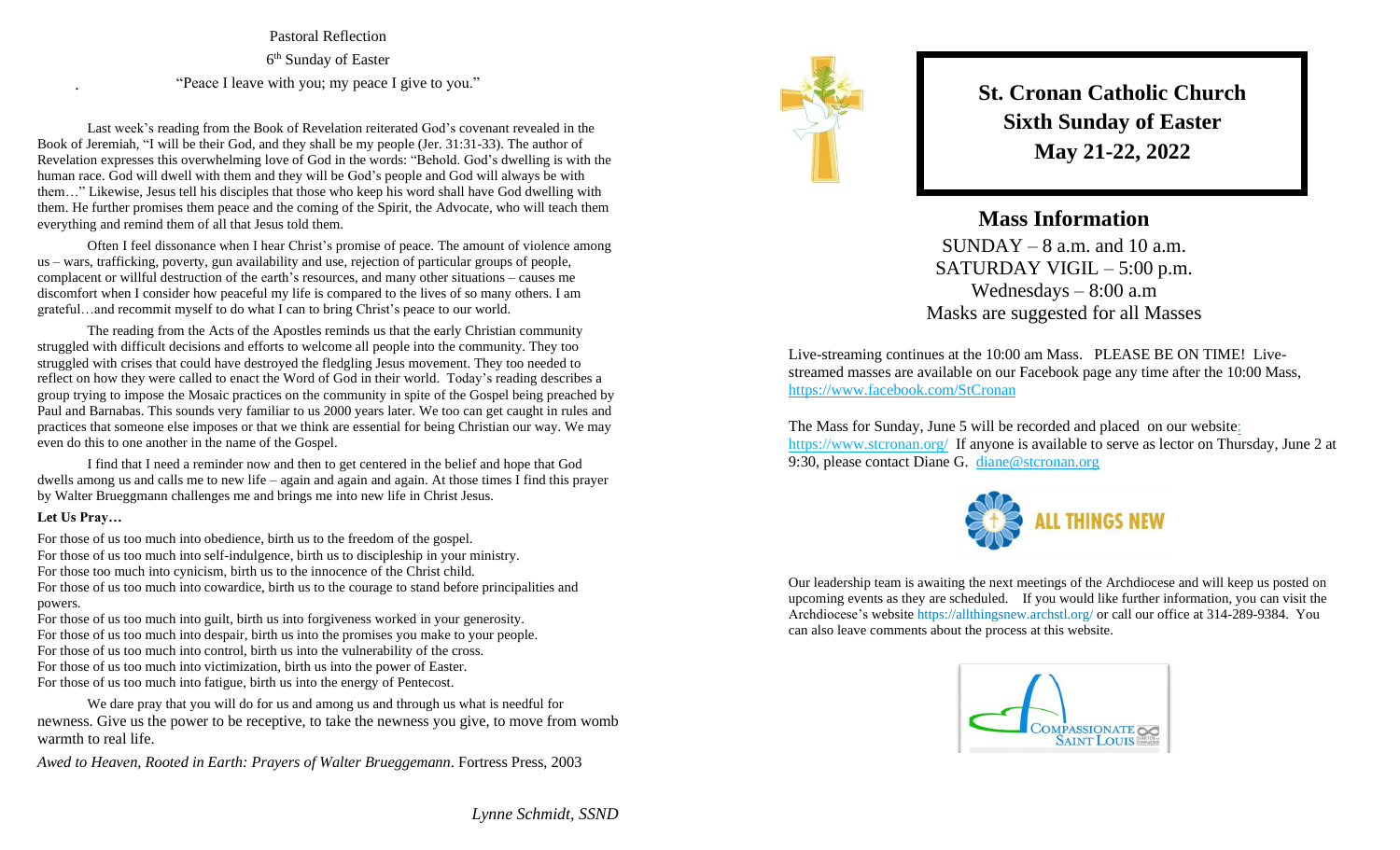Pastoral Reflection 6<sup>th</sup> Sunday of Easter "Peace I leave with you; my peace I give to you."

Last week's reading from the Book of Revelation reiterated God's covenant revealed in the Book of Jeremiah, "I will be their God, and they shall be my people (Jer. 31:31-33). The author of Revelation expresses this overwhelming love of God in the words: "Behold. God's dwelling is with the human race. God will dwell with them and they will be God's people and God will always be with them…" Likewise, Jesus tell his disciples that those who keep his word shall have God dwelling with them. He further promises them peace and the coming of the Spirit, the Advocate, who will teach them everything and remind them of all that Jesus told them.

Often I feel dissonance when I hear Christ's promise of peace. The amount of violence among us – wars, trafficking, poverty, gun availability and use, rejection of particular groups of people, complacent or willful destruction of the earth's resources, and many other situations – causes me discomfort when I consider how peaceful my life is compared to the lives of so many others. I am grateful…and recommit myself to do what I can to bring Christ's peace to our world.

The reading from the Acts of the Apostles reminds us that the early Christian community struggled with difficult decisions and efforts to welcome all people into the community. They too struggled with crises that could have destroyed the fledgling Jesus movement. They too needed to reflect on how they were called to enact the Word of God in their world. Today's reading describes a group trying to impose the Mosaic practices on the community in spite of the Gospel being preached by Paul and Barnabas. This sounds very familiar to us 2000 years later. We too can get caught in rules and practices that someone else imposes or that we think are essential for being Christian our way. We may even do this to one another in the name of the Gospel.

I find that I need a reminder now and then to get centered in the belief and hope that God dwells among us and calls me to new life – again and again and again. At those times I find this prayer by Walter Brueggmann challenges me and brings me into new life in Christ Jesus.

## **Let Us Pray…**

.

For those of us too much into obedience, birth us to the freedom of the gospel. For those of us too much into self-indulgence, birth us to discipleship in your ministry. For those too much into cynicism, birth us to the innocence of the Christ child. For those of us too much into cowardice, birth us to the courage to stand before principalities and powers.

For those of us too much into guilt, birth us into forgiveness worked in your generosity. For those of us too much into despair, birth us into the promises you make to your people. For those of us too much into control, birth us into the vulnerability of the cross. For those of us too much into victimization, birth us into the power of Easter. For those of us too much into fatigue, birth us into the energy of Pentecost.

We dare pray that you will do for us and among us and through us what is needful for newness. Give us the power to be receptive, to take the newness you give, to move from womb warmth to real life.

*Awed to Heaven, Rooted in Earth: Prayers of Walter Brueggemann*. Fortress Press, 2003



**St. Cronan Catholic Church Sixth Sunday of Easter May 21-22, 2022**

**Mass Information**  $SUNDAY - 8$  a.m. and 10 a.m. SATURDAY VIGIL – 5:00 p.m. Wednesdays – 8:00 a.m Masks are suggested for all Masses

Live-streaming continues at the 10:00 am Mass. PLEASE BE ON TIME! Livestreamed masses are available on our Facebook page any time after the 10:00 Mass, <https://www.facebook.com/StCronan>

The Mass for Sunday, June 5 will be recorded and placed on our websit[e:](https://d.docs.live.net/e2a01ffbd4eb3572/Documents/Monday%20Notes/:%20%20https:/www.stcronan.org/)  [https://www.stcronan.org/](https://d.docs.live.net/e2a01ffbd4eb3572/Documents/Monday%20Notes/:%20%20https:/www.stcronan.org/) If anyone is available to serve as lector on Thursday, June 2 at 9:30, please contact Diane G. [diane@stcronan.org](mailto:diane@stcronan.org)



Our leadership team is awaiting the next meetings of the Archdiocese and will keep us posted on upcoming events as they are scheduled. If you would like further information, you can visit the Archdiocese's website <https://allthingsnew.archstl.org/> or call our office at 314-289-9384. You can also leave comments about the process at this website.